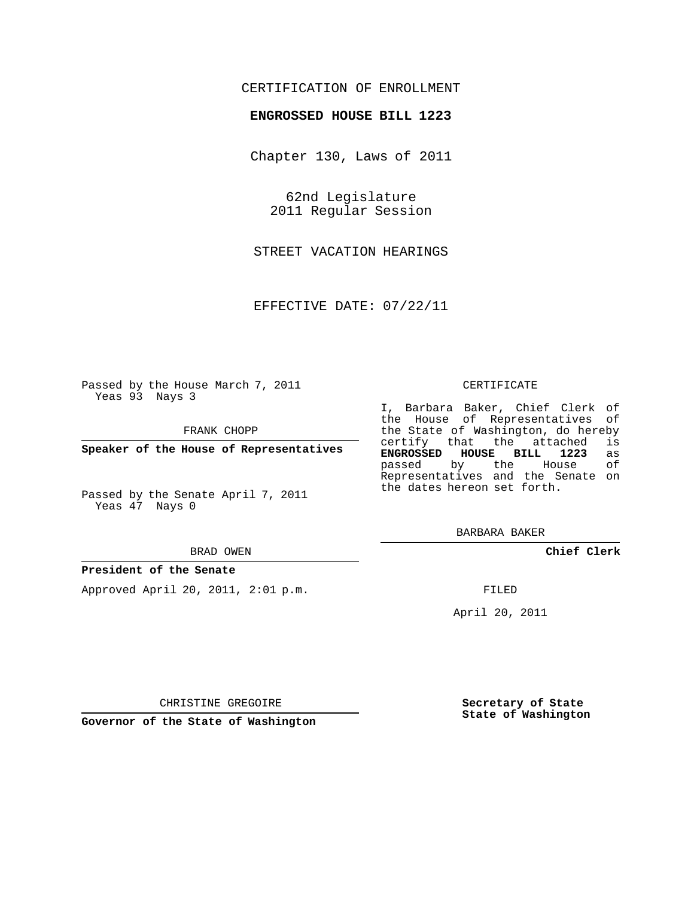## CERTIFICATION OF ENROLLMENT

### **ENGROSSED HOUSE BILL 1223**

Chapter 130, Laws of 2011

62nd Legislature 2011 Regular Session

STREET VACATION HEARINGS

EFFECTIVE DATE: 07/22/11

Passed by the House March 7, 2011 Yeas 93 Nays 3

FRANK CHOPP

**Speaker of the House of Representatives**

Passed by the Senate April 7, 2011 Yeas 47 Nays 0

#### BRAD OWEN

#### **President of the Senate**

Approved April 20, 2011, 2:01 p.m.

#### CERTIFICATE

I, Barbara Baker, Chief Clerk of the House of Representatives of the State of Washington, do hereby<br>certify that the attached is certify that the attached **ENGROSSED HOUSE BILL 1223** as passed by the House Representatives and the Senate on the dates hereon set forth.

BARBARA BAKER

**Chief Clerk**

FILED

April 20, 2011

CHRISTINE GREGOIRE

**Governor of the State of Washington**

**Secretary of State State of Washington**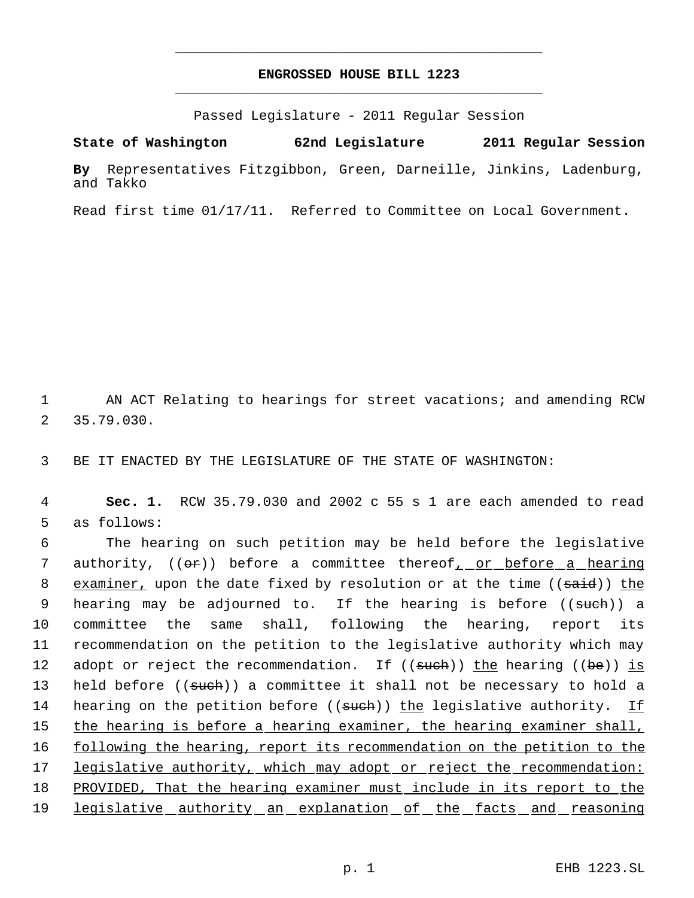# **ENGROSSED HOUSE BILL 1223** \_\_\_\_\_\_\_\_\_\_\_\_\_\_\_\_\_\_\_\_\_\_\_\_\_\_\_\_\_\_\_\_\_\_\_\_\_\_\_\_\_\_\_\_\_

\_\_\_\_\_\_\_\_\_\_\_\_\_\_\_\_\_\_\_\_\_\_\_\_\_\_\_\_\_\_\_\_\_\_\_\_\_\_\_\_\_\_\_\_\_

Passed Legislature - 2011 Regular Session

**State of Washington 62nd Legislature 2011 Regular Session**

**By** Representatives Fitzgibbon, Green, Darneille, Jinkins, Ladenburg, and Takko

Read first time 01/17/11. Referred to Committee on Local Government.

1 AN ACT Relating to hearings for street vacations; and amending RCW 2 35.79.030.

3 BE IT ENACTED BY THE LEGISLATURE OF THE STATE OF WASHINGTON:

 4 **Sec. 1.** RCW 35.79.030 and 2002 c 55 s 1 are each amended to read 5 as follows:

 6 The hearing on such petition may be held before the legislative 7 authority, (( $\Theta$ )) before a committee thereof<sub>1</sub> or before a hearing 8 examiner, upon the date fixed by resolution or at the time ((said)) the 9 hearing may be adjourned to. If the hearing is before ((<del>such</del>)) a 10 committee the same shall, following the hearing, report its 11 recommendation on the petition to the legislative authority which may 12 adopt or reject the recommendation. If ((such)) the hearing ((be)) is 13 held before ((such)) a committee it shall not be necessary to hold a 14 hearing on the petition before ((such)) the legislative authority. If 15 the hearing is before a hearing examiner, the hearing examiner shall, 16 following the hearing, report its recommendation on the petition to the 17 legislative authority, which may adopt or reject the recommendation: 18 PROVIDED, That the hearing examiner must include in its report to the 19 legislative authority an explanation of the facts and reasoning